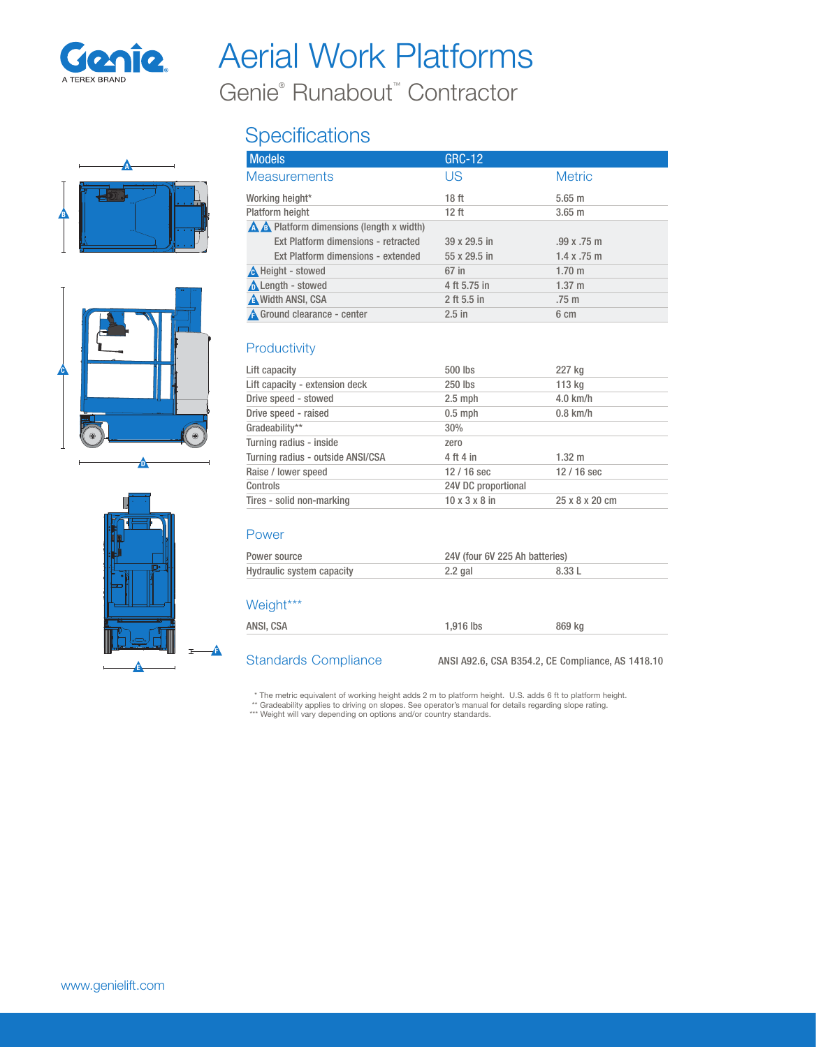

## Aerial Work Platforms

Genie® Runabout™ Contractor

# A B





### **Specifications**

| <b>Models</b>                                      | <b>GRC-12</b>    |                    |
|----------------------------------------------------|------------------|--------------------|
| <b>Measurements</b>                                | US               | <b>Metric</b>      |
| Working height*                                    | 18 <sub>ft</sub> | $5.65$ m           |
| Platform height                                    | 12 <sub>ft</sub> | $3.65$ m           |
| $\triangle$ A Platform dimensions (length x width) |                  |                    |
| Ext Platform dimensions - retracted                | 39 x 29.5 in     | .99x.75m           |
| Ext Platform dimensions - extended                 | 55 x 29.5 in     | $1.4 \times .75$ m |
| <b>A</b> Height - stowed                           | 67 in            | $1.70 \;{\rm m}$   |
| <b>A</b> Length - stowed                           | 4 ft 5.75 in     | $1.37 \; m$        |
| <b>A</b> Width ANSI, CSA                           | 2 ft 5.5 in      | .75 <sub>m</sub>   |
| <b>A</b> Ground clearance - center                 | $2.5$ in         | 6 cm               |

#### **Productivity**

| Lift capacity                     | 500 lbs                   | 227 kg         |
|-----------------------------------|---------------------------|----------------|
| Lift capacity - extension deck    | 250 lbs                   | 113 kg         |
| Drive speed - stowed              | $2.5$ mph                 | $4.0$ km/h     |
| Drive speed - raised              | $0.5$ mph                 | $0.8$ km/h     |
| Gradeability**                    | 30%                       |                |
| Turning radius - inside           | zero                      |                |
| Turning radius - outside ANSI/CSA | 4 ft 4 in                 | $1.32 \; m$    |
| Raise / lower speed               | $12/16$ sec               | $12/16$ sec    |
| Controls                          | 24V DC proportional       |                |
| Tires - solid non-marking         | $10 \times 3 \times 8$ in | 25 x 8 x 20 cm |

#### Power

| Power source              | 24V (four 6V 225 Ah batteries) |        |
|---------------------------|--------------------------------|--------|
| Hydraulic system capacity | $2.2$ gal                      | 8.33 L |

#### Weight\*\*\*

ANSI, CSA 1,916 lbs 869 kg

Standards Compliance ANSI A92.6, CSA B354.2, CE Compliance, AS 1418.10

\* The metric equivalent of working height adds 2 m to platform height. U.S. adds 6 ft to platform height.<br>\*\* Gradeability applies to driving on slopes. See operator's manual for details regarding slope rating.<br>\*\*\* Weight w